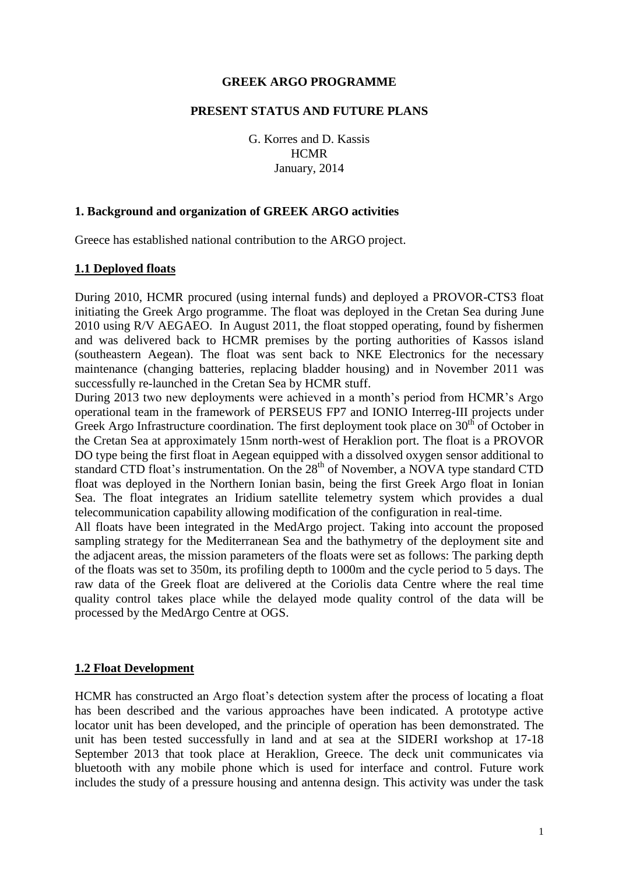### **GREEK ARGO PROGRAMME**

#### **PRESENT STATUS AND FUTURE PLANS**

G. Korres and D. Kassis **HCMR** January, 2014

### **1. Background and organization of GREEK ARGO activities**

Greece has established national contribution to the ARGO project.

#### **1.1 Deployed floats**

During 2010, HCMR procured (using internal funds) and deployed a PROVOR-CTS3 float initiating the Greek Argo programme. The float was deployed in the Cretan Sea during June 2010 using R/V AEGAEO. In August 2011, the float stopped operating, found by fishermen and was delivered back to HCMR premises by the porting authorities of Kassos island (southeastern Aegean). The float was sent back to NKE Electronics for the necessary maintenance (changing batteries, replacing bladder housing) and in November 2011 was successfully re-launched in the Cretan Sea by HCMR stuff.

During 2013 two new deployments were achieved in a month's period from HCMR's Argo operational team in the framework of PERSEUS FP7 and IONIO Interreg-III projects under Greek Argo Infrastructure coordination. The first deployment took place on  $30<sup>th</sup>$  of October in the Cretan Sea at approximately 15nm north-west of Heraklion port. The float is a PROVOR DO type being the first float in Aegean equipped with a dissolved oxygen sensor additional to standard CTD float's instrumentation. On the  $28<sup>th</sup>$  of November, a NOVA type standard CTD float was deployed in the Northern Ionian basin, being the first Greek Argo float in Ionian Sea. The float integrates an Iridium satellite telemetry system which provides a dual telecommunication capability allowing modification of the configuration in real-time.

All floats have been integrated in the MedArgo project. Taking into account the proposed sampling strategy for the Mediterranean Sea and the bathymetry of the deployment site and the adjacent areas, the mission parameters of the floats were set as follows: The parking depth of the floats was set to 350m, its profiling depth to 1000m and the cycle period to 5 days. The raw data of the Greek float are delivered at the Coriolis data Centre where the real time quality control takes place while the delayed mode quality control of the data will be processed by the MedArgo Centre at OGS.

#### **1.2 Float Development**

HCMR has constructed an Argo float's detection system after the process of locating a float has been described and the various approaches have been indicated. A prototype active locator unit has been developed, and the principle of operation has been demonstrated. The unit has been tested successfully in land and at sea at the SIDERI workshop at 17-18 September 2013 that took place at Heraklion, Greece. The deck unit communicates via bluetooth with any mobile phone which is used for interface and control. Future work includes the study of a pressure housing and antenna design. This activity was under the task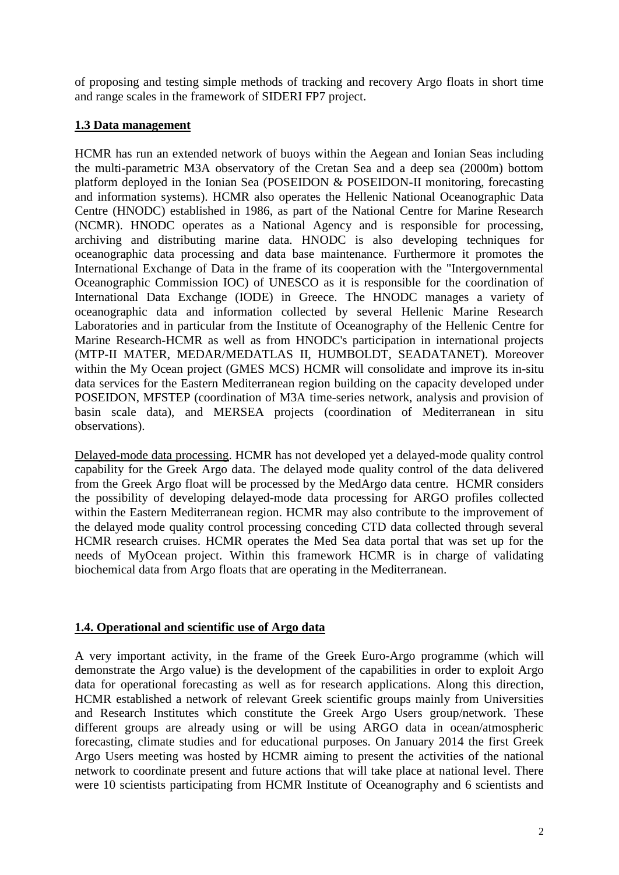of proposing and testing simple methods of tracking and recovery Argo floats in short time and range scales in the framework of SIDERI FP7 project.

# **1.3 Data management**

HCMR has run an extended network of buoys within the Aegean and Ionian Seas including the multi-parametric M3A observatory of the Cretan Sea and a deep sea (2000m) bottom platform deployed in the Ionian Sea (POSEIDON & POSEIDON-II monitoring, forecasting and information systems). HCMR also operates the Hellenic National Oceanographic Data Centre (HNODC) established in 1986, as part of the National Centre for Marine Research (NCMR). HNODC operates as a National Agency and is responsible for processing, archiving and distributing marine data. HNODC is also developing techniques for oceanographic data processing and data base maintenance. Furthermore it promotes the International Exchange of Data in the frame of its cooperation with the "Intergovernmental Oceanographic Commission IOC) of UNESCO as it is responsible for the coordination of International Data Exchange (IODE) in Greece. The HNODC manages a variety of oceanographic data and information collected by several Hellenic Marine Research Laboratories and in particular from the Institute of Oceanography of the Hellenic Centre for Marine Research-HCMR as well as from HNODC's participation in international projects (MTP-II MATER, MEDAR/MEDATLAS II, HUMBOLDT, SEADATANET). Moreover within the My Ocean project (GMES MCS) HCMR will consolidate and improve its in-situ data services for the Eastern Mediterranean region building on the capacity developed under POSEIDON, MFSTEP (coordination of M3A time-series network, analysis and provision of basin scale data), and MERSEA projects (coordination of Mediterranean in situ observations).

Delayed-mode data processing. HCMR has not developed yet a delayed-mode quality control capability for the Greek Argo data. The delayed mode quality control of the data delivered from the Greek Argo float will be processed by the MedArgo data centre. HCMR considers the possibility of developing delayed-mode data processing for ARGO profiles collected within the Eastern Mediterranean region. HCMR may also contribute to the improvement of the delayed mode quality control processing conceding CTD data collected through several HCMR research cruises. HCMR operates the Med Sea data portal that was set up for the needs of MyOcean project. Within this framework HCMR is in charge of validating biochemical data from Argo floats that are operating in the Mediterranean.

# **1.4. Operational and scientific use of Argo data**

A very important activity, in the frame of the Greek Euro-Argo programme (which will demonstrate the Argo value) is the development of the capabilities in order to exploit Argo data for operational forecasting as well as for research applications. Along this direction, HCMR established a network of relevant Greek scientific groups mainly from Universities and Research Institutes which constitute the Greek Argo Users group/network. These different groups are already using or will be using ARGO data in ocean/atmospheric forecasting, climate studies and for educational purposes. On January 2014 the first Greek Argo Users meeting was hosted by HCMR aiming to present the activities of the national network to coordinate present and future actions that will take place at national level. There were 10 scientists participating from HCMR Institute of Oceanography and 6 scientists and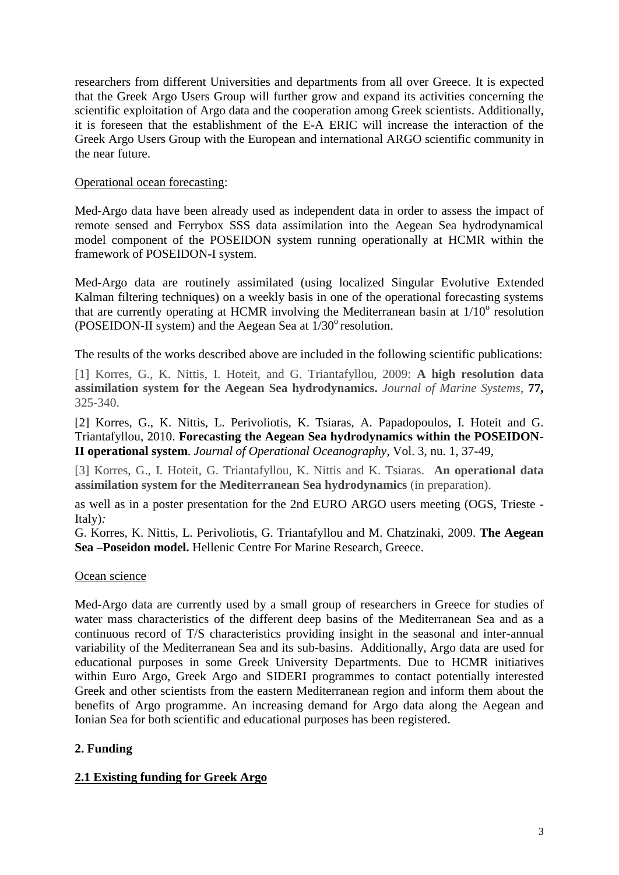researchers from different Universities and departments from all over Greece. It is expected that the Greek Argo Users Group will further grow and expand its activities concerning the scientific exploitation of Argo data and the cooperation among Greek scientists. Additionally, it is foreseen that the establishment of the E-A ERIC will increase the interaction of the Greek Argo Users Group with the European and international ARGO scientific community in the near future.

## Operational ocean forecasting:

Med-Argo data have been already used as independent data in order to assess the impact of remote sensed and Ferrybox SSS data assimilation into the Aegean Sea hydrodynamical model component of the POSEIDON system running operationally at HCMR within the framework of POSEIDON-I system.

Med-Argo data are routinely assimilated (using localized Singular Evolutive Extended Kalman filtering techniques) on a weekly basis in one of the operational forecasting systems that are currently operating at HCMR involving the Mediterranean basin at  $1/10<sup>o</sup>$  resolution (POSEIDON-II system) and the Aegean Sea at  $1/30^{\circ}$  resolution.

The results of the works described above are included in the following scientific publications:

[1] Korres, G., K. Nittis, I. Hoteit, and G. Triantafyllou, 2009: **A high resolution data assimilation system for the Aegean Sea hydrodynamics.** *Journal of Marine Systems*, **77,** 325-340.

[2] Korres, G., K. Nittis, L. Perivoliotis, K. Tsiaras, A. Papadopoulos, I. Hoteit and G. Triantafyllou, 2010. **Forecasting the Aegean Sea hydrodynamics within the POSEIDON-II operational system**. *Journal of Operational Oceanography*, Vol. 3, nu. 1, 37-49,

[3] Korres, G., I. Hoteit, G. Triantafyllou, K. Nittis and K. Tsiaras. **An operational data assimilation system for the Mediterranean Sea hydrodynamics** (in preparation).

as well as in a poster presentation for the 2nd EURO ARGO users meeting (OGS, Trieste - Italy)*:*

G. Korres, K. Nittis, L. Perivoliotis, G. Triantafyllou and M. Chatzinaki, 2009. **The Aegean Sea –Poseidon model.** Hellenic Centre For Marine Research, Greece.

## Ocean science

Med-Argo data are currently used by a small group of researchers in Greece for studies of water mass characteristics of the different deep basins of the Mediterranean Sea and as a continuous record of T/S characteristics providing insight in the seasonal and inter-annual variability of the Mediterranean Sea and its sub-basins. Additionally, Argo data are used for educational purposes in some Greek University Departments. Due to HCMR initiatives within Euro Argo, Greek Argo and SIDERI programmes to contact potentially interested Greek and other scientists from the eastern Mediterranean region and inform them about the benefits of Argo programme. An increasing demand for Argo data along the Aegean and Ionian Sea for both scientific and educational purposes has been registered.

# **2. Funding**

# **2.1 Existing funding for Greek Argo**